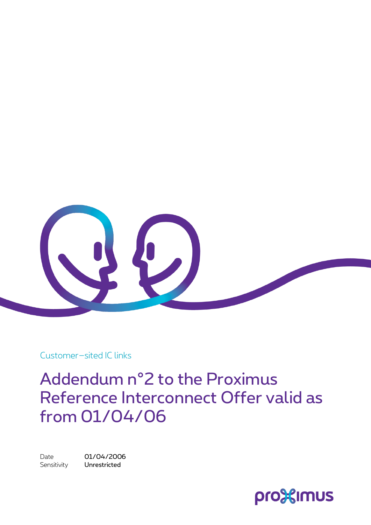

Customer–sited IC links

## Addendum n°2 to the Proximus Reference Interconnect Offer valid as from 01/04/06

Date 01/04/2006 Sensitivity **Unrestricted** 

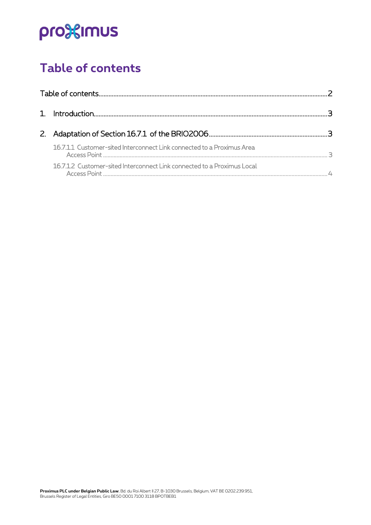# pro<sup>32</sup>imus

## <span id="page-1-0"></span>**Table of contents**

| 16.7.1.1 Customer-sited Interconnect Link connected to a Proximus Area  |  |
|-------------------------------------------------------------------------|--|
| 16.7.1.2 Customer-sited Interconnect Link connected to a Proximus Local |  |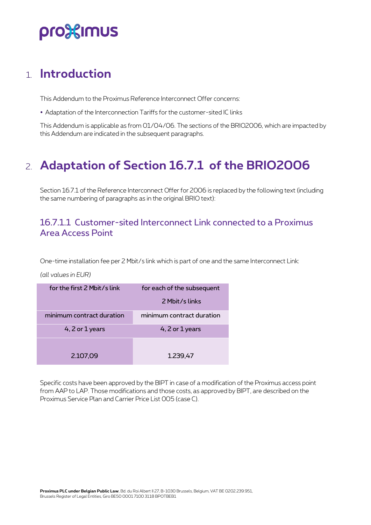# pro%imus

### <span id="page-2-0"></span>1. **Introduction**

This Addendum to the Proximus Reference Interconnect Offer concerns:

Adaptation of the Interconnection Tariffs for the customer-sited IC links

This Addendum is applicable as from 01/04/06. The sections of the BRIO2006, which are impacted by this Addendum are indicated in the subsequent paragraphs.

## <span id="page-2-1"></span>2. **Adaptation of Section 16.7.1 of the BRIO2006**

Section 16.7.1 of the Reference Interconnect Offer for 2006 is replaced by the following text (including the same numbering of paragraphs as in the original BRIO text):

#### <span id="page-2-2"></span>16.7.1.1 Customer-sited Interconnect Link connected to a Proximus Area Access Point

One-time installation fee per 2 Mbit/s link which is part of one and the same Interconnect Link:

#### *(all values in EUR)*

| for the first 2 Mbit/s link | for each of the subsequent |  |  |  |
|-----------------------------|----------------------------|--|--|--|
|                             | 2 Mbit/slinks              |  |  |  |
| minimum contract duration   | minimum contract duration  |  |  |  |
| 4, $2$ or $1$ years         | 4, $2$ or $1$ years        |  |  |  |
|                             |                            |  |  |  |
| 2.107,09                    | 1.239,47                   |  |  |  |

Specific costs have been approved by the BIPT in case of a modification of the Proximus access point from AAP to LAP. Those modifications and those costs, as approved by BIPT, are described on the Proximus Service Plan and Carrier Price List 005 (case C).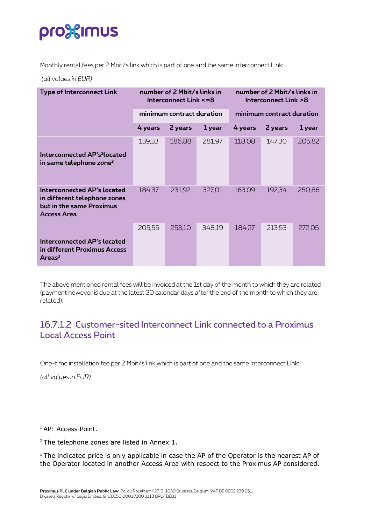# pro<sup>3</sup> sumus

Monthly rental fees per 2 Mbit/s link which is part of one and the same Interconnect Link:

*(all values in EUR)*

| <b>Type of Interconnect Link</b>                                                                       | number of 2 Mbit/s links in<br>Interconnect Link <= 8 |         |        | number of 2 Mbit/s links in<br>Interconnect Link >8 |         |        |
|--------------------------------------------------------------------------------------------------------|-------------------------------------------------------|---------|--------|-----------------------------------------------------|---------|--------|
|                                                                                                        | minimum contract duration                             |         |        | minimum contract duration                           |         |        |
|                                                                                                        | 4 years                                               | 2 years | 1 year | 4 years                                             | 2 years | 1 year |
| Interconnected AP's <sup>1</sup> located<br>in same telephone zone <sup>2</sup>                        | 139,33                                                | 186,88  | 281,97 | 118,08                                              | 147,30  | 205,82 |
| Interconnected AP's located<br>in different telephone zones<br>but in the same Proximus<br>Access Area | 184,37                                                | 231,92  | 327,01 | 163,09                                              | 192,34  | 250,86 |
| Interconnected AP's located<br>in different Proximus Access<br>Area <sup>3</sup>                       | 205,55                                                | 253,10  | 348,19 | 184,27                                              | 213,53  | 272,05 |

The above mentioned rental fees will be invoiced at the 1st day of the month to which they are related (payment however is due at the latest 30 calendar days after the end of the month to which they are related).

#### <span id="page-3-0"></span>16.7.1.2 Customer-sited Interconnect Link connected to a Proximus Local Access Point

One-time installation fee per 2 Mbit/s link which is part of one and the same Interconnect Link:

*(all values in EUR)*

<sup>1</sup> AP: Access Point.

 $2$  The telephone zones are listed in Annex 1.

<sup>3</sup> The indicated price is only applicable in case the AP of the Operator is the nearest AP of the Operator located in another Access Area with respect to the Proximus AP considered.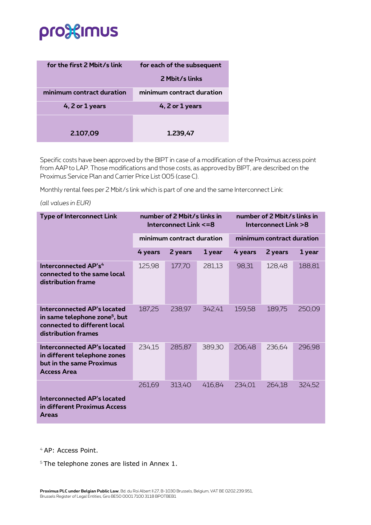# pro<sup>32</sup>imus

| for the first 2 Mbit/s link | for each of the subsequent |  |  |  |
|-----------------------------|----------------------------|--|--|--|
|                             | 2 Mbit/s links             |  |  |  |
| minimum contract duration   | minimum contract duration  |  |  |  |
| 4, 2 or 1 years             | 4, 2 or 1 years            |  |  |  |
| 2.107,09                    | 1.239,47                   |  |  |  |
|                             |                            |  |  |  |

Specific costs have been approved by the BIPT in case of a modification of the Proximus access point from AAP to LAP. Those modifications and those costs, as approved by BIPT, are described on the Proximus Service Plan and Carrier Price List 005 (case C).

Monthly rental fees per 2 Mbit/s link which is part of one and the same Interconnect Link:

*(all values in EUR)*

| <b>Type of Interconnect Link</b>                                                                                                | number of 2 Mbit/s links in<br>Interconnect Link <= 8 |         |        | number of 2 Mbit/s links in<br>Interconnect Link >8 |         |        |
|---------------------------------------------------------------------------------------------------------------------------------|-------------------------------------------------------|---------|--------|-----------------------------------------------------|---------|--------|
|                                                                                                                                 | minimum contract duration                             |         |        | minimum contract duration                           |         |        |
|                                                                                                                                 | 4 years                                               | 2 years | 1 year | 4 years                                             | 2 years | 1 year |
| Interconnected AP's <sup>4</sup><br>connected to the same local<br>distribution frame                                           | 125,98                                                | 177,70  | 281,13 | 98,31                                               | 128,48  | 188,81 |
| Interconnected AP's located<br>in same telephone zone <sup>5</sup> , but<br>connected to different local<br>distribution frames | 187,25                                                | 238,97  | 342,41 | 159,58                                              | 189,75  | 250,09 |
| <b>Interconnected AP's located</b><br>in different telephone zones<br>but in the same Proximus<br><b>Access Area</b>            | 234,15                                                | 285,87  | 389,30 | 206,48                                              | 236,64  | 296,98 |
| Interconnected AP's located<br>in different Proximus Access<br><b>Areas</b>                                                     | 261,69                                                | 313,40  | 416,84 | 234,01                                              | 264,18  | 324,52 |

<sup>4</sup> AP: Access Point.

<sup>5</sup> The telephone zones are listed in Annex 1.